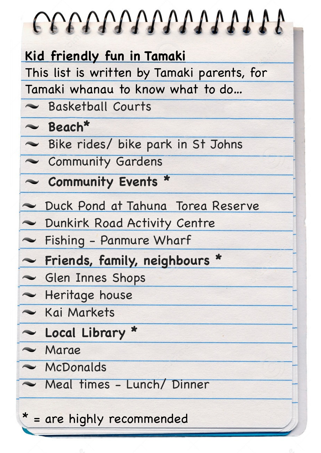| COOPPOPOPOPOPOPOPO                          |
|---------------------------------------------|
| Kid friendly fun in Tamaki                  |
| This list is written by Tamaki parents, for |
| Tamaki whanau to know what to do            |
| Basketball Courts                           |
| $\sim$ Beach*                               |
| Bike rides/ bike park in St Johns           |
| Community Gardens                           |
| ~ Community Events *                        |
| Duck Pond at Tahuna Torea Reserve           |
| Dunkirk Road Activity Centre                |
| - Fishing - Panmure Wharf                   |
| ~ Friends, family, neighbours *             |
| Glen Innes Shops                            |
| - Heritage house                            |
| – Kai Markets                               |
| Local Library *                             |
| $\sim$ Marae                                |
| $\sim$ McDonalds                            |
| Meal times - Lunch/Dinner                   |
| * = are highly recommended                  |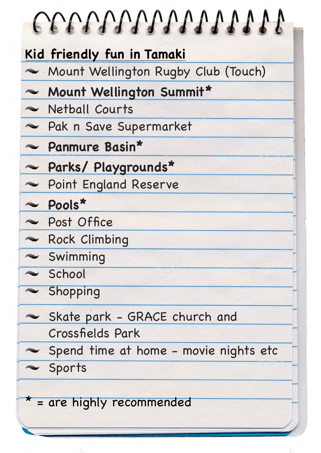| Kid friendly fun in Tamaki<br>Mount Wellington Rugby Club (Touch) |
|-------------------------------------------------------------------|
| ~ Mount Wellington Summit*                                        |
| Netball Courts                                                    |
| Rak n Save Supermarket                                            |
| - Panmure Basin*                                                  |
| - Parks/ Playgrounds*                                             |
| - Point England Reserve                                           |
| $\sim$ Pools*                                                     |
| Post Office                                                       |
| Rock Climbing                                                     |
| $\sim$ Swimming                                                   |
| School                                                            |
| $\sim$ Shopping                                                   |
| Skate park - GRACE church and                                     |
| Crossfields Park                                                  |
| Spend time at home - movie nights etc                             |
| Sports                                                            |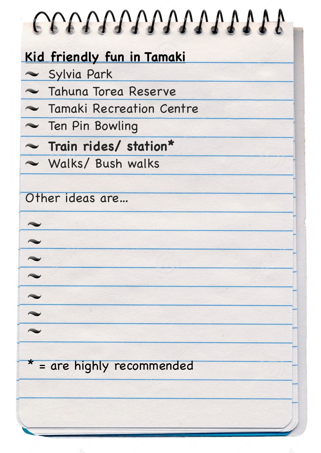| COOPPOPOPOPOPOPOP          |
|----------------------------|
| Kid friendly fun in Tamaki |
| Sylvia Park                |
| ~ Tahuna Torea Reserve     |
| ~ Tamaki Recreation Centre |
| - Ten Pin Bowling          |
| Train rides/ station*      |
| Walks/ Bush walks          |
|                            |
|                            |
|                            |
|                            |
|                            |
|                            |
|                            |
| * = are highly recommended |
|                            |
|                            |
|                            |
|                            |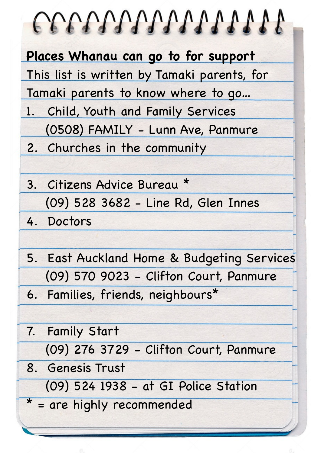| COOPOOPOOPOOP AND A                         |  |  |  |
|---------------------------------------------|--|--|--|
| Places Whanau can go to for support         |  |  |  |
| This list is written by Tamaki parents, for |  |  |  |
| Tamaki parents to know where to go          |  |  |  |
| 1. Child, Youth and Family Services         |  |  |  |
| (0508) FAMILY - Lunn Ave, Panmure           |  |  |  |
| 2. Churches in the community                |  |  |  |
|                                             |  |  |  |
| 3. Citizens Advice Bureau *                 |  |  |  |
| (09) 528 3682 - Line Rd, Glen Innes         |  |  |  |
| 4. Doctors                                  |  |  |  |
|                                             |  |  |  |
| 5. East Auckland Home & Budgeting Services  |  |  |  |
| (09) 570 9023 - Clifton Court, Panmure      |  |  |  |
| 6. Families, friends, neighbours*           |  |  |  |
|                                             |  |  |  |
| 7. Family Start                             |  |  |  |
| (09) 276 3729 - Clifton Court, Panmure      |  |  |  |
| 8. Genesis Trust                            |  |  |  |
| (09) 524 1938 - at GI Police Station        |  |  |  |
| * = are highly recommended                  |  |  |  |
|                                             |  |  |  |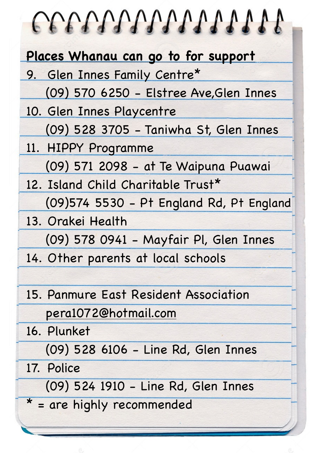| COOPOOPOOPOOPOOP                          |  |  |  |
|-------------------------------------------|--|--|--|
| Places Whanau can go to for support       |  |  |  |
| 9. Glen Innes Family Centre*              |  |  |  |
| (09) 570 6250 - Elstree Ave, Glen Innes   |  |  |  |
| 10. Glen Innes Playcentre                 |  |  |  |
| (09) 528 3705 - Taniwha St, Glen Innes    |  |  |  |
| 11. HIPPY Programme                       |  |  |  |
| (09) 571 2098 - at Te Waipuna Puawai      |  |  |  |
| 12. Island Child Charitable Trust*        |  |  |  |
| (09) 574 5530 - Pt England Rd, Pt England |  |  |  |
| 13. Orakei Health                         |  |  |  |
| (09) 578 0941 - Mayfair Pl, Glen Innes    |  |  |  |
| 14. Other parents at local schools        |  |  |  |
|                                           |  |  |  |
| 15. Panmure East Resident Association     |  |  |  |
| pera1072@hotmail.com                      |  |  |  |
| 16. Plunket                               |  |  |  |
| (09) 528 6106 - Line Rd, Glen Innes       |  |  |  |
| 17. Police                                |  |  |  |
| (09) 524 1910 - Line Rd, Glen Innes       |  |  |  |
| * = are highly recommended                |  |  |  |